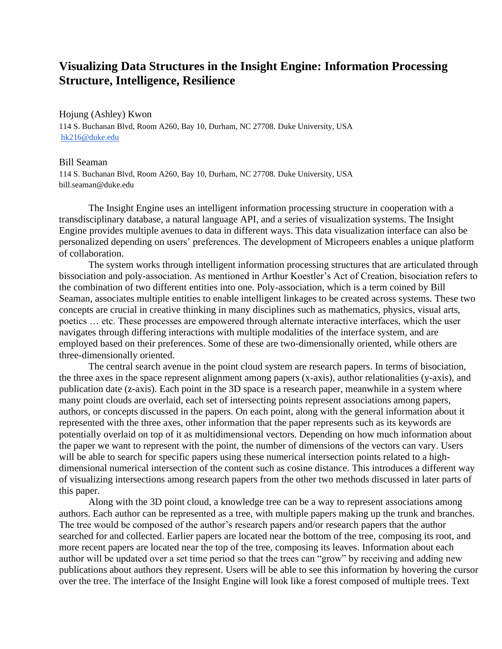## **Visualizing Data Structures in the Insight Engine: Information Processing Structure, Intelligence, Resilience**

Hojung (Ashley) Kwon 114 S. Buchanan Blvd, Room A260, Bay 10, Durham, NC 27708. Duke University, USA [hk216@duke.edu](mailto:hk216@duke.edu)

## Bill Seaman

114 S. Buchanan Blvd, Room A260, Bay 10, Durham, NC 27708. Duke University, USA bill.seaman@duke.edu

The Insight Engine uses an intelligent information processing structure in cooperation with a transdisciplinary database, a natural language API, and a series of visualization systems. The Insight Engine provides multiple avenues to data in different ways. This data visualization interface can also be personalized depending on users' preferences. The development of Micropeers enables a unique platform of collaboration.

The system works through intelligent information processing structures that are articulated through bissociation and poly-association. As mentioned in Arthur Koestler's Act of Creation, bisociation refers to the combination of two different entities into one. Poly-association, which is a term coined by Bill Seaman, associates multiple entities to enable intelligent linkages to be created across systems. These two concepts are crucial in creative thinking in many disciplines such as mathematics, physics, visual arts, poetics … etc. These processes are empowered through alternate interactive interfaces, which the user navigates through differing interactions with multiple modalities of the interface system, and are employed based on their preferences. Some of these are two-dimensionally oriented, while others are three-dimensionally oriented.

The central search avenue in the point cloud system are research papers. In terms of bisociation, the three axes in the space represent alignment among papers (x-axis), author relationalities (y-axis), and publication date (z-axis). Each point in the 3D space is a research paper, meanwhile in a system where many point clouds are overlaid, each set of intersecting points represent associations among papers, authors, or concepts discussed in the papers. On each point, along with the general information about it represented with the three axes, other information that the paper represents such as its keywords are potentially overlaid on top of it as multidimensional vectors. Depending on how much information about the paper we want to represent with the point, the number of dimensions of the vectors can vary. Users will be able to search for specific papers using these numerical intersection points related to a highdimensional numerical intersection of the content such as cosine distance. This introduces a different way of visualizing intersections among research papers from the other two methods discussed in later parts of this paper.

Along with the 3D point cloud, a knowledge tree can be a way to represent associations among authors. Each author can be represented as a tree, with multiple papers making up the trunk and branches. The tree would be composed of the author's research papers and/or research papers that the author searched for and collected. Earlier papers are located near the bottom of the tree, composing its root, and more recent papers are located near the top of the tree, composing its leaves. Information about each author will be updated over a set time period so that the trees can "grow" by receiving and adding new publications about authors they represent. Users will be able to see this information by hovering the cursor over the tree. The interface of the Insight Engine will look like a forest composed of multiple trees. Text